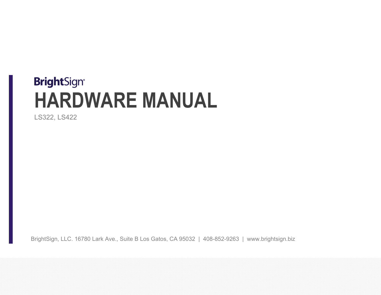# **BrightSign® HARDWARE MANUAL**

LS322, LS422

BrightSign, LLC. 16780 Lark Ave., Suite B Los Gatos, CA 95032 | 408-852-9263 | www.brightsign.biz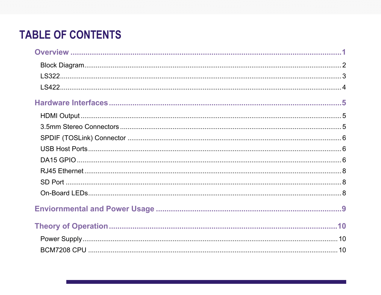# **TABLE OF CONTENTS**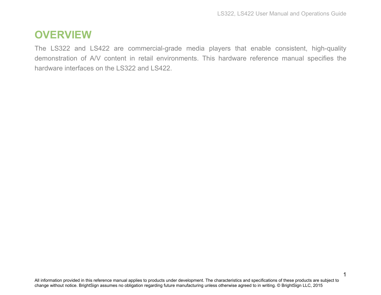# <span id="page-3-0"></span>**OVERVIEW**

The LS322 and LS422 are commercial-grade media players that enable consistent, high-quality demonstration of A/V content in retail environments. This hardware reference manual specifies the hardware interfaces on the LS322 and LS422.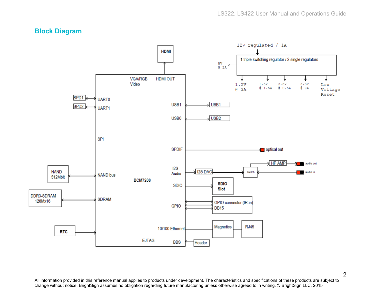### <span id="page-4-0"></span>**Block Diagram**

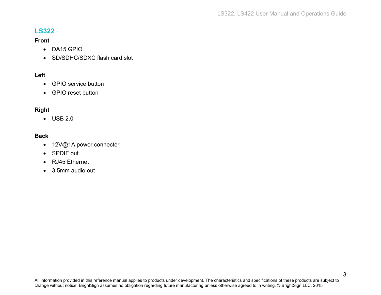### <span id="page-5-0"></span>**LS322**

#### **Front**

- DA15 GPIO
- SD/SDHC/SDXC flash card slot

#### **Left**

- GPIO service button
- GPIO reset button

#### **Right**

• USB 2.0

#### **Back**

- 12V@1A power connector
- SPDIF out
- RJ45 Ethernet
- 3.5mm audio out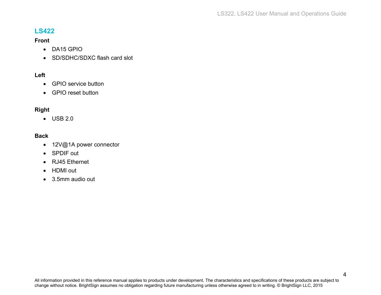### <span id="page-6-0"></span>**LS422**

#### **Front**

- DA15 GPIO
- SD/SDHC/SDXC flash card slot

#### **Left**

- GPIO service button
- GPIO reset button

#### **Right**

• USB 2.0

#### **Back**

- 12V@1A power connector
- SPDIF out
- RJ45 Ethernet
- HDMI out
- 3.5mm audio out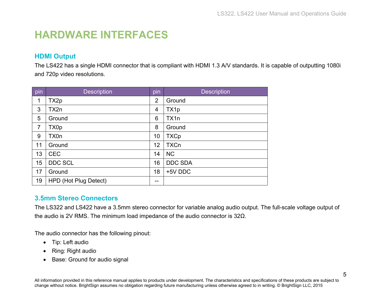# <span id="page-7-0"></span>**HARDWARE INTERFACES**

### <span id="page-7-1"></span>**HDMI Output**

The LS422 has a single HDMI connector that is compliant with HDMI 1.3 A/V standards. It is capable of outputting 1080i and 720p video resolutions.

| pin            | <b>Description</b>    | pin            | <b>Description</b> |
|----------------|-----------------------|----------------|--------------------|
| $\mathbf 1$    | TX2p                  | $\overline{2}$ | Ground             |
| 3              | TX2n                  | 4              | TX1p               |
| 5              | Ground                | 6              | TX1n               |
| $\overline{7}$ | TX0p                  | 8              | Ground             |
| 9              | TX0n                  | 10             | <b>TXCp</b>        |
| 11             | Ground                | 12             | <b>TXCn</b>        |
| 13             | <b>CEC</b>            | 14             | <b>NC</b>          |
| 15             | <b>DDC SCL</b>        | 16             | <b>DDC SDA</b>     |
| 17             | Ground                | 18             | +5V DDC            |
| 19             | HPD (Hot Plug Detect) | --             |                    |

# <span id="page-7-2"></span>**3.5mm Stereo Connectors**

The LS322 and LS422 have a 3.5mm stereo connector for variable analog audio output. The full-scale voltage output of the audio is 2V RMS. The minimum load impedance of the audio connector is 32Ω.

The audio connector has the following pinout:

- Tip: Left audio
- Ring: Right audio
- Base: Ground for audio signal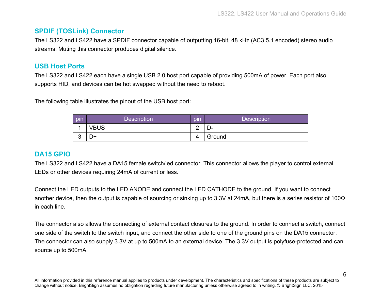### <span id="page-8-0"></span>**SPDIF (TOSLink) Connector**

The LS322 and LS422 have a SPDIF connector capable of outputting 16-bit, 48 kHz (AC3 5.1 encoded) stereo audio streams. Muting this connector produces digital silence.

### <span id="page-8-1"></span>**USB Host Ports**

The LS322 and LS422 each have a single USB 2.0 host port capable of providing 500mA of power. Each port also supports HID, and devices can be hot swapped without the need to reboot.

The following table illustrates the pinout of the USB host port:

| pin    | <b>Description</b> | pin | <b>Description</b> |
|--------|--------------------|-----|--------------------|
|        | VBUS               | ⌒   | —                  |
| ົ<br>ື | D+                 | 4   | Ground             |

### <span id="page-8-2"></span>**DA15 GPIO**

The LS322 and LS422 have a DA15 female switch/led connector. This connector allows the player to control external LEDs or other devices requiring 24mA of current or less.

Connect the LED outputs to the LED ANODE and connect the LED CATHODE to the ground. If you want to connect another device, then the output is capable of sourcing or sinking up to 3.3V at 24mA, but there is a series resistor of 100 $\Omega$ in each line.

The connector also allows the connecting of external contact closures to the ground. In order to connect a switch, connect one side of the switch to the switch input, and connect the other side to one of the ground pins on the DA15 connector. The connector can also supply 3.3V at up to 500mA to an external device. The 3.3V output is polyfuse-protected and can source up to 500mA.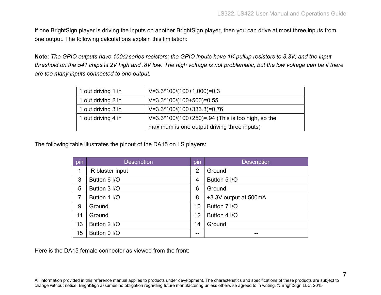If one BrightSign player is driving the inputs on another BrightSign player, then you can drive at most three inputs from one output. The following calculations explain this limitation:

**Note**: *The GPIO outputs have 100*<sup>Ω</sup> *series resistors; the GPIO inputs have 1K pullup resistors to 3.3V; and the input threshold on the 541 chips is 2V high and .8V low. The high voltage is not problematic, but the low voltage can be if there are too many inputs connected to one output.*

| 1 out driving 1 in | $V=3.3*100/(100+1,000)=0.3$                       |
|--------------------|---------------------------------------------------|
| 1 out driving 2 in | $V=3.3*100/(100+500)=0.55$                        |
| 1 out driving 3 in | $V=3.3*100/(100+333.3)=0.76$                      |
| 1 out driving 4 in | V=3.3*100/(100+250)=.94 (This is too high, so the |
|                    | maximum is one output driving three inputs)       |

The following table illustrates the pinout of the DA15 on LS players:

| pin | <b>Description</b> | pin | <b>Description</b>    |
|-----|--------------------|-----|-----------------------|
| 1   | IR blaster input   | 2   | Ground                |
| 3   | Button 6 I/O       | 4   | Button 5 I/O          |
| 5   | Button 3 I/O       | 6   | Ground                |
| 7   | Button 1 I/O       | 8   | +3.3V output at 500mA |
| 9   | Ground             | 10  | Button 7 I/O          |
| 11  | Ground             | 12  | Button 4 I/O          |
| 13  | Button 2 I/O       | 14  | Ground                |
| 15  | Button 0 I/O       | --  |                       |

Here is the DA15 female connector as viewed from the front: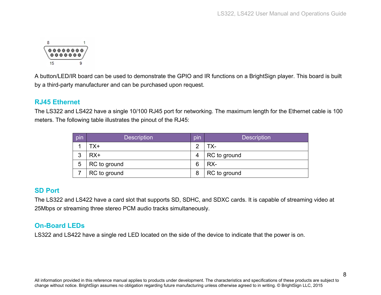

A button/LED/IR board can be used to demonstrate the GPIO and IR functions on a BrightSign player. This board is built by a third-party manufacturer and can be purchased upon request.

#### <span id="page-10-0"></span>**RJ45 Ethernet**

The LS322 and LS422 have a single 10/100 RJ45 port for networking. The maximum length for the Ethernet cable is 100 meters. The following table illustrates the pinout of the RJ45:

| pin | <b>Description</b> | pin | <b>Description</b> |
|-----|--------------------|-----|--------------------|
|     | TX+                | ⌒   | TX-                |
| 3   | $RX+$              | 4   | RC to ground       |
| 5   | RC to ground       | 6   | RX-                |
|     | RC to ground       | 8   | RC to ground       |

### <span id="page-10-1"></span>**SD Port**

The LS322 and LS422 have a card slot that supports SD, SDHC, and SDXC cards. It is capable of streaming video at 25Mbps or streaming three stereo PCM audio tracks simultaneously.

# <span id="page-10-2"></span>**On-Board LEDs**

LS322 and LS422 have a single red LED located on the side of the device to indicate that the power is on.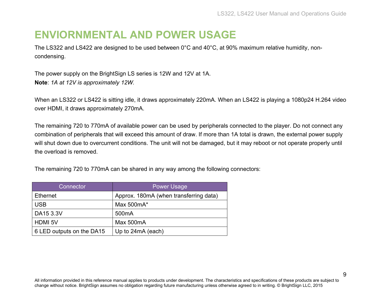# <span id="page-11-0"></span>**ENVIORNMENTAL AND POWER USAGE**

The LS322 and LS422 are designed to be used between 0°C and 40°C, at 90% maximum relative humidity, noncondensing.

The power supply on the BrightSign LS series is 12W and 12V at 1A. **Note**: *1A at 12V is approximately 12W.*

When an LS322 or LS422 is sitting idle, it draws approximately 220mA. When an LS422 is playing a 1080p24 H.264 video over HDMI, it draws approximately 270mA.

The remaining 720 to 770mA of available power can be used by peripherals connected to the player. Do not connect any combination of peripherals that will exceed this amount of draw. If more than 1A total is drawn, the external power supply will shut down due to overcurrent conditions. The unit will not be damaged, but it may reboot or not operate properly until the overload is removed.

The remaining 720 to 770mA can be shared in any way among the following connectors:

| Connector <sup>1</sup>    | <b>Power Usage</b>                     |
|---------------------------|----------------------------------------|
| <b>Ethernet</b>           | Approx. 180mA (when transferring data) |
| <b>USB</b>                | Max 500mA*                             |
| DA15 3.3V                 | 500 <sub>m</sub> A                     |
| <b>HDMI 5V</b>            | Max 500mA                              |
| 6 LED outputs on the DA15 | Up to 24mA (each)                      |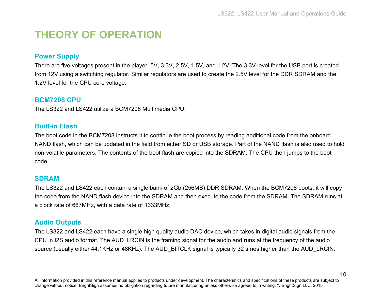10

# <span id="page-12-0"></span>**THEORY OF OPERATION**

### <span id="page-12-1"></span>**Power Supply**

There are five voltages present in the player: 5V, 3.3V, 2.5V, 1.5V, and 1.2V. The 3.3V level for the USB port is created from 12V using a switching regulator. Similar regulators are used to create the 2.5V level for the DDR SDRAM and the 1.2V level for the CPU core voltage.

### <span id="page-12-2"></span>**BCM7208 CPU**

<span id="page-12-3"></span>The LS322 and LS422 utilize a BCM7208 Multimedia CPU.

### **Built-in Flash**

The boot code in the BCM7208 instructs it to continue the boot process by reading additional code from the onboard NAND flash, which can be updated in the field from either SD or USB storage. Part of the NAND flash is also used to hold non-volatile parameters. The contents of the boot flash are copied into the SDRAM. The CPU then jumps to the boot code.

#### <span id="page-12-4"></span>**SDRAM**

The LS322 and LS422 each contain a single bank of 2Gb (256MB) DDR SDRAM. When the BCM7208 boots, it will copy the code from the NAND flash device into the SDRAM and then execute the code from the SDRAM. The SDRAM runs at a clock rate of 667MHz, with a data rate of 1333MHz.

### <span id="page-12-5"></span>**Audio Outputs**

The LS322 and LS422 each have a single high quality audio DAC device, which takes in digital audio signals from the CPU in I2S audio format. The AUD\_LRCIN is the framing signal for the audio and runs at the frequency of the audio source (usually either 44.1KHz or 48KHz). The AUD BITCLK signal is typically 32 times higher than the AUD LRCIN.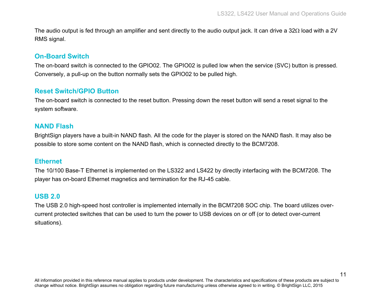The audio output is fed through an amplifier and sent directly to the audio output jack. It can drive a 32Ω load with a 2V RMS signal.

#### <span id="page-13-0"></span>**On-Board Switch**

The on-board switch is connected to the GPIO02. The GPIO02 is pulled low when the service (SVC) button is pressed. Conversely, a pull-up on the button normally sets the GPIO02 to be pulled high.

#### <span id="page-13-1"></span>**Reset Switch/GPIO Button**

The on-board switch is connected to the reset button. Pressing down the reset button will send a reset signal to the system software.

#### <span id="page-13-2"></span>**NAND Flash**

BrightSign players have a built-in NAND flash. All the code for the player is stored on the NAND flash. It may also be possible to store some content on the NAND flash, which is connected directly to the BCM7208.

#### <span id="page-13-3"></span>**Ethernet**

The 10/100 Base-T Ethernet is implemented on the LS322 and LS422 by directly interfacing with the BCM7208. The player has on-board Ethernet magnetics and termination for the RJ-45 cable.

#### <span id="page-13-4"></span>**USB 2.0**

The USB 2.0 high-speed host controller is implemented internally in the BCM7208 SOC chip. The board utilizes overcurrent protected switches that can be used to turn the power to USB devices on or off (or to detect over-current situations).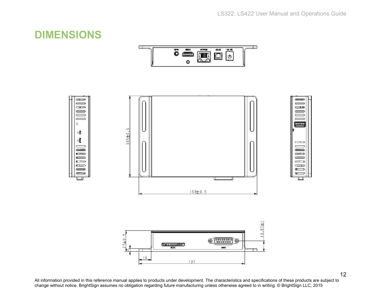# <span id="page-14-0"></span>**DIMENSIONS**